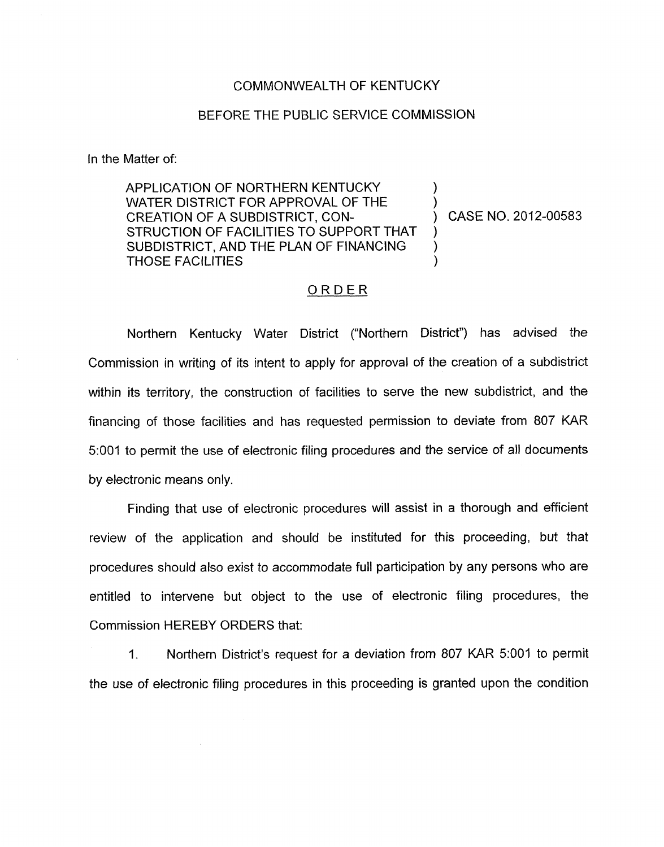## COMMONWEALTH OF KENTUCKY

## BEFORE THE PUBLIC SERVICE COMMISSION

In the Matter of:

APPLICATION OF NORTHERN KENTUCKY<br>WATER DISTRICT FOR APPROVAL OF THE CREATION OF A SUBDISTRICT, CON- ) CASE NO. 2012-00583 STRUCTION OF FACILITIES TO SUPPORT THAT SUBDISTRICT, AND THE PLAN OF FINANCING THOSE FACILITIES )

## ORDER

Northern Kentucky Water District ("Northern District") has advised the Commission in writing of its intent to apply for approval of the creation of a subdistrict within its territory, the construction of facilities to serve the new subdistrict, and the financing of those facilities and has requested permission to deviate from 807 KAR 5:001 to permit the use of electronic filing procedures and the service of all documents by electronic means only.

Finding that use of electronic procedures will assist in a thorough and efficient review of the application and should be instituted for this proceeding, but that procedures should also exist to accommodate full participation by any persons who are entitled to intervene but object to the use of electronic filing procedures, the Commission HEREBY ORDERS that:

1. Northern District's request for a deviation from 807 KAR 5:OOl to permit the use of electronic filing procedures in this proceeding is granted upon the condition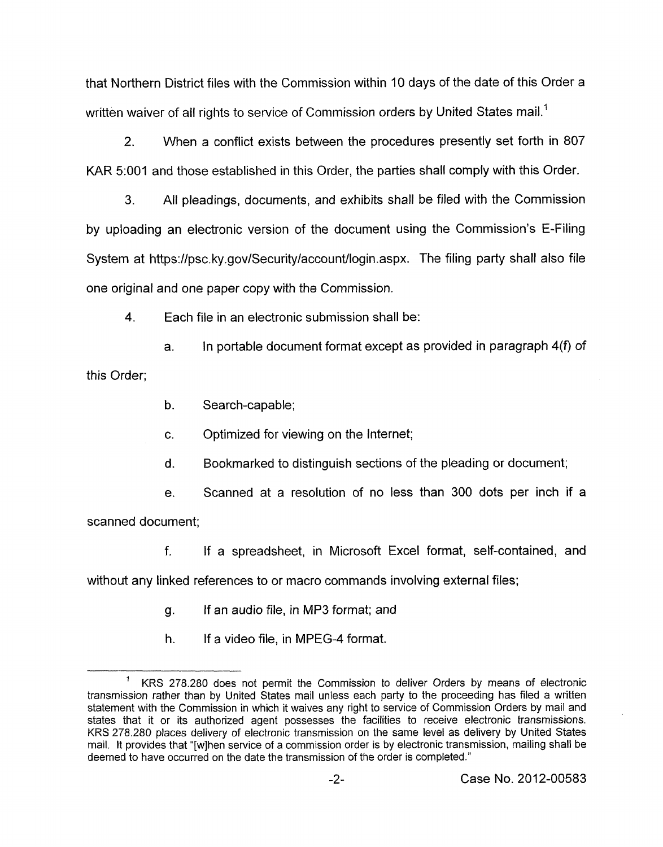that Northern District files with the Commission within **10** days of the date of this Order a written waiver of all rights to service of Commission orders by United States mail.<sup>1</sup>

**2.** When a conflict exists between the procedures presently set forth in 807 KAR **5:OOl** and those established in this Order, the parties shall comply with this Order.

3. All pleadings, documents, and exhibits shall be filed with the Commission by uploading an electronic version of the document using the Commission's E-Filing System at <https://psc.ky.gov/Security/account/login.aspx>. The filing party shall also file one original and one paper copy with the Commission.

4. Each file in an electronic submission shall be:

a. In portable document format except as provided in paragraph 4(f) of this Order;

b. Search-capable;

c. Optimized for viewing on the Internet;

d. Bookmarked to distinguish sections of the pleading or document;

e. Scanned at a resolution of no less than **300** dots per inch if a scanned document;

f. If a spreadsheet, in Microsoft Excel format, self-contained, and

without any linked references to or macro commands involving external files;

- g. If an audio file, in MP3 format; and
- h. If a video file, in MPEG-4 format.

KRS 278.280 does not permit the Commission to deliver Orders by means of electronic transmission rather than by United States mail unless each party to the proceeding has filed a written statement with the Commission in which it waives any right to service of Commission Orders by mail and states that it or its authorized agent possesses the facilities to receive electronic transmissions. KRS 278.280 places delivery of electronic transmission on the same level as delivery by United States mail. It provides that "[wlhen service of a commission order is by electronic transmission, mailing shall be deemed to have occurred on the date the transmission of the order is completed." **1**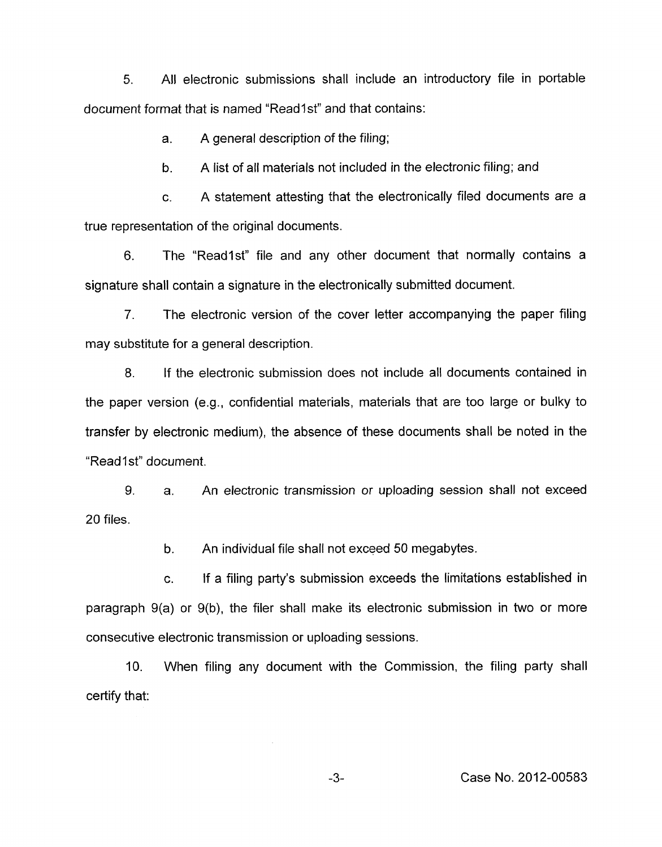*5.* All electronic submissions shall include an introductory file in portable document format that is named "Readlst" and that contains:

> a. A general description of the filing;

b. A list of all materials not included in the electronic filing; and

c. A statement attesting that the electronically filed documents are a true representation of the original documents.

6. The "Readlst" file and any other document that normally contains a signature shall contain a signature in the electronically submitted document.

7. The electronic version of the cover letter accompanying the paper filing may substitute for a general description.

8. If the electronic submission does not include all documents contained in the paper version (e.g., confidential materials, materials that are too large or bulky to transfer by electronic medium), the absence of these documents shall be noted in the "Read1st" document.

*9.*  20 files. a. An electronic transmission or uploading session shall not exceed

> b. An individual file shall not exceed 50 megabytes.

c. If a filing party's submission exceeds the limitations established in paragraph 9(a) or 9(b), the filer shall make its electronic submission in two or more consecutive electronic transmission or uploading sessions.

10. When filing any document with the Commission, the filing party shall certify that: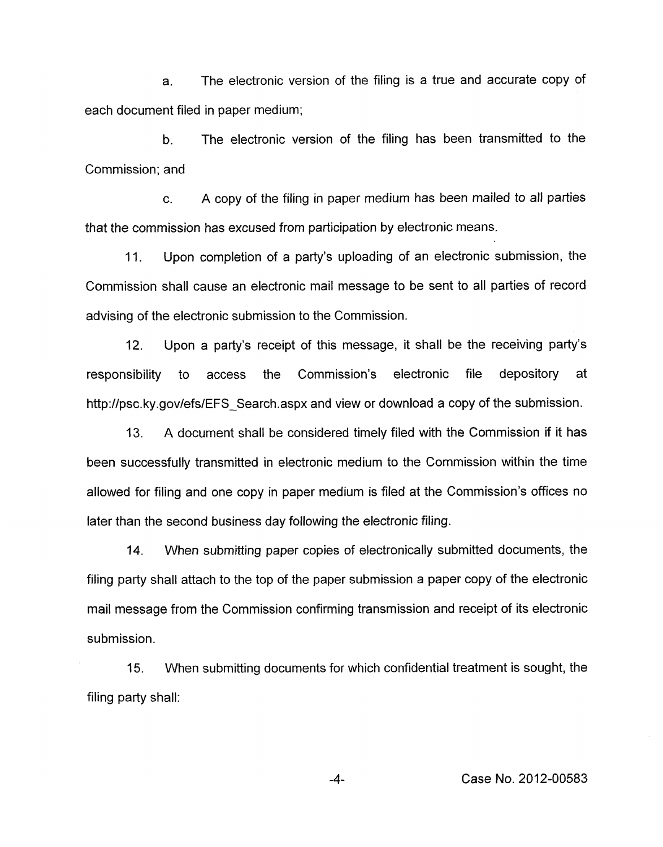a. The electronic version of the filing is a true and accurate copy of each document filed in paper medium;

b. The electronic version of the filing has been transmitted to the Commission; and

c. A copy of the filing in paper medium has been mailed to all parties that the commission has excused from participation by electronic means.

11. Upon completion of a party's uploading of an electronic submission, the Commission shall cause an electronic mail message to be sent to all parties of record advising of the electronic submission to the Commission.

12. Upon a party's receipt of this message, it shall be the receiving party's responsibility to access the Commission's electronic file depository at [http://psc.](http://psc)ky.gov/efs/EFS Search.aspx and view or download a copy of the submission.

13. A document shall be considered timely filed with the Commission if it has been successfully transmitted in electronic medium to the Commission within the time allowed for filing and one copy in paper medium is filed at the Commission's offices no later than the second business day following the electronic filing.

14. When submitting paper copies of electronically submitted documents, the filing party shall attach to the top of the paper submission a paper copy of the electronic mail message from the Commission confirming transmission and receipt of its electronic submission.

15. filing party shall: When submitting documents for which confidential treatment is sought, the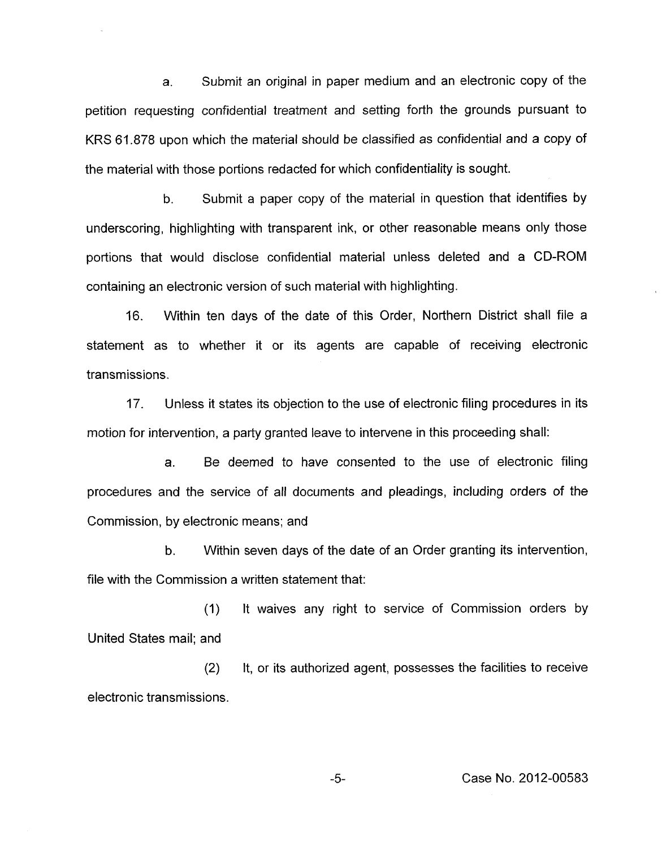a. Submit an original in paper medium and an electronic copy of the petition requesting confidential treatment and setting forth the grounds pursuant to KRS 61.878 upon which the material should be classified as confidential and a copy of the material with those portions redacted for which confidentiality is sought.

b. Submit a paper copy of the material in question that identifies by underscoring, highlighting with transparent ink, or other reasonable means only those portions that would disclose confidential material unless deleted and a CD-ROM containing an electronic version of such material with highlighting.

16. Within ten days of the date of this Order, Northern District shall file a statement as to whether it or its agents are capable of receiving electronic transmissions.

17. Unless it states its objection to the use of electronic filing procedures in its motion for intervention, a party granted leave to intervene in this proceeding shall:

a. Be deemed to have consented to the use of electronic filing procedures and the service of all documents and pleadings, including orders of the Commission, by electronic means; and

b. Within seven days of the date of an Order granting its intervention, file with the Commission a written statement that:

(I) United States mail; and It waives any right to service of Commission orders by

(2) It, or its authorized agent, possesses the facilities to receive electronic transmissions.

-5- Case No. 2012-00583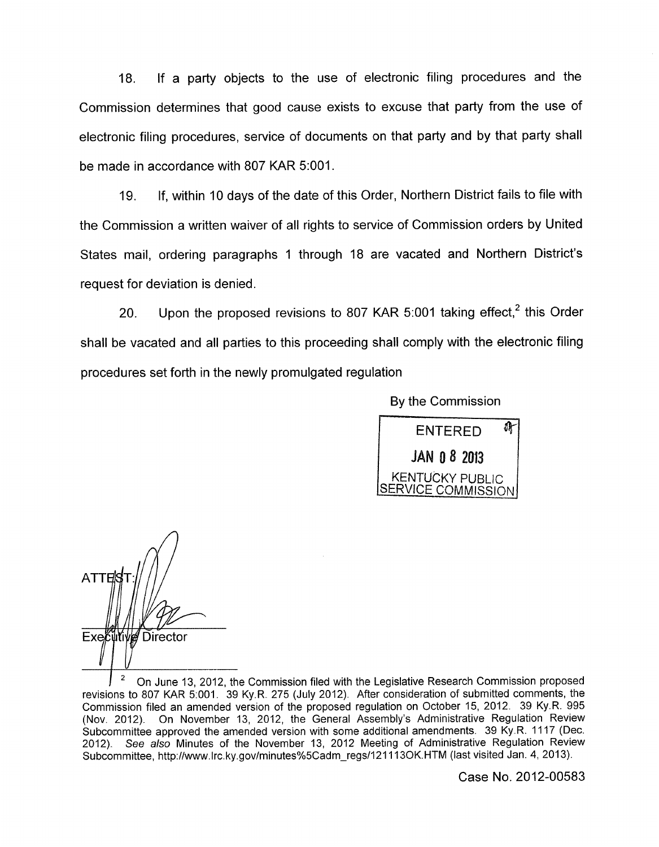18. If a party objects to the use of electronic filing procedures and the Commission determines that good cause exists to excuse that party from the use of electronic filing procedures, service of documents on that party and by that party shall be made in accordance with 807 KAR 5:OOl.

19. If, within 10 days of the date of this Order, Northern District fails to file with the Commission a written waiver of all rights to service of Commission orders by United States mail, ordering paragraphs 1 through 18 are vacated and Northern District's request for deviation is denied.

20. Upon the proposed revisions to 807 KAR 5:001 taking effect, $^2$  this Order shall be vacated and all parties to this proceeding shall comply with the electronic filing procedures set forth in the newly promulgated regulation

By the Commission



**ATTE** Executive Director

On June **13, 2012,** the Commission filed with the Legislative Research Commission proposed revisions to 807 KAR **5r001. 39** Ky.R. **275** (July **2012).** After consideration of submitted comments, the Commission filed an amended version of the proposed regulation on October **15, 2012. 39** Ky.R. **995**  (Nov. **2012).** On November **13, 2012,** the General Assembly's Administrative Regulation Review Subcommittee approved the amended version with some additional amendments. **39** Ky.R. **11 17** (Dec. **2012).** See *also* Minutes of the November **13, 2012** Meeting of Administrative Regulation Review Subcommittee, http://www.lrc.ky.gov/minutes%5Cadm\_regs/121113OK.HTM (last visited Jan. 4, 2013). **2** 

Case No. 2012-00583